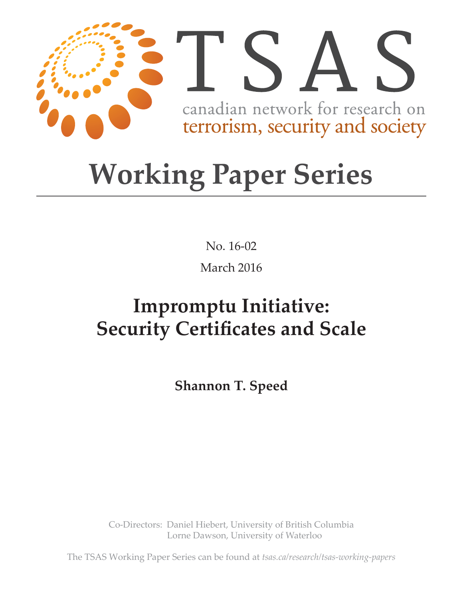

# **Working Paper Series**

No. 16-02 March 2016

## **Impromptu Initiative: Security Certificates and Scale**

**Shannon T. Speed**

Co-Directors: Daniel Hiebert, University of British Columbia Lorne Dawson, University of Waterloo

The TSAS Working Paper Series can be found at *tsas.ca/research/tsas-working-papers*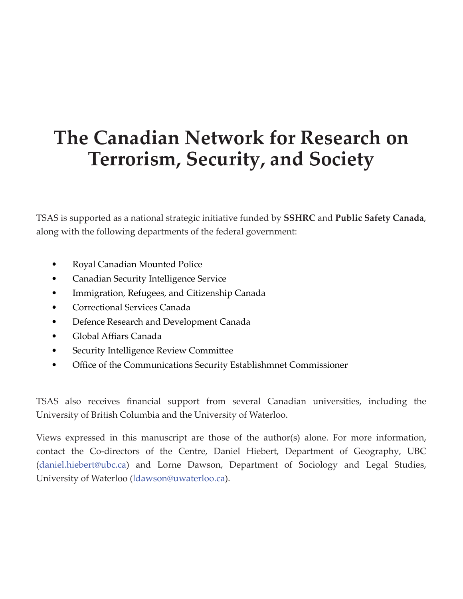### **The Canadian Network for Research on Terrorism, Security, and Society**

TSAS is supported as a national strategic initiative funded by **SSHRC** and **Public Safety Canada**, along with the following departments of the federal government:

- Royal Canadian Mounted Police
- Canadian Security Intelligence Service
- Immigration, Refugees, and Citizenship Canada
- Correctional Services Canada
- Defence Research and Development Canada
- Global Affiars Canada
- Security Intelligence Review Committee
- Office of the Communications Security Establishmnet Commissioner

TSAS also receives financial support from several Canadian universities, including the University of British Columbia and the University of Waterloo.

Views expressed in this manuscript are those of the author(s) alone. For more information, contact the Co-directors of the Centre, Daniel Hiebert, Department of Geography, UBC (daniel.hiebert@ubc.ca) and Lorne Dawson, Department of Sociology and Legal Studies, University of Waterloo (ldawson@uwaterloo.ca).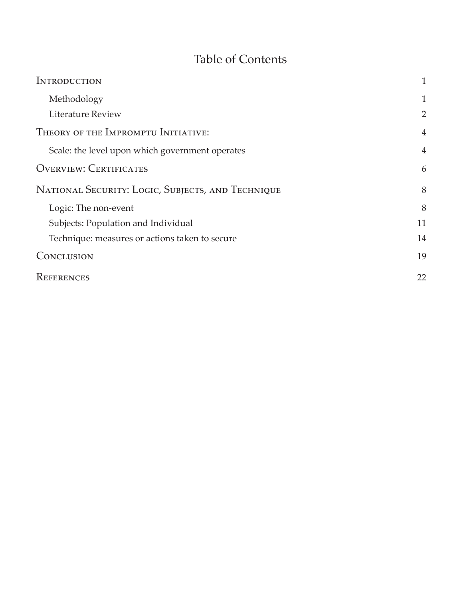#### Table of Contents

| <b>INTRODUCTION</b>                               | $\mathbf{1}$   |
|---------------------------------------------------|----------------|
| Methodology                                       | 1              |
| Literature Review                                 | $\overline{2}$ |
| THEORY OF THE IMPROMPTU INITIATIVE:               | $\overline{4}$ |
| Scale: the level upon which government operates   | 4              |
| <b>OVERVIEW: CERTIFICATES</b>                     | 6              |
| NATIONAL SECURITY: LOGIC, SUBJECTS, AND TECHNIQUE | 8              |
| Logic: The non-event                              | 8              |
| Subjects: Population and Individual               | 11             |
| Technique: measures or actions taken to secure    | 14             |
| CONCLUSION                                        | 19             |
| REFERENCES                                        | 22             |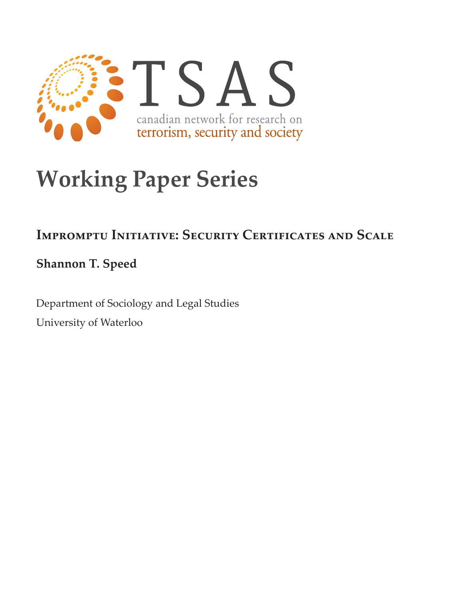

## **Working Paper Series**

#### **Impromptu Initiative: Security Certificates and Scale**

**Shannon T. Speed**

Department of Sociology and Legal Studies University of Waterloo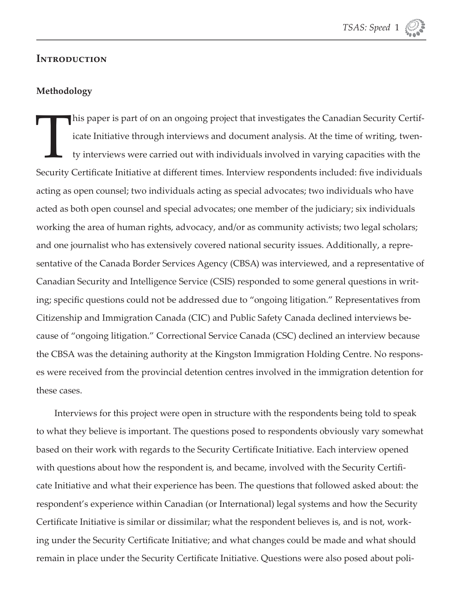

#### **Introduction**

#### **Methodology**

This paper is part of on an ongoing project that investigates the Canadian Security Certificate Initiative through interviews and document analysis. At the time of writing, twen-<br>ty interviews were carried out with individ icate Initiative through interviews and document analysis. At the time of writing, twenty interviews were carried out with individuals involved in varying capacities with the Security Certificate Initiative at different times. Interview respondents included: five individuals acting as open counsel; two individuals acting as special advocates; two individuals who have acted as both open counsel and special advocates; one member of the judiciary; six individuals working the area of human rights, advocacy, and/or as community activists; two legal scholars; and one journalist who has extensively covered national security issues. Additionally, a representative of the Canada Border Services Agency (CBSA) was interviewed, and a representative of Canadian Security and Intelligence Service (CSIS) responded to some general questions in writing; specific questions could not be addressed due to "ongoing litigation." Representatives from Citizenship and Immigration Canada (CIC) and Public Safety Canada declined interviews because of "ongoing litigation." Correctional Service Canada (CSC) declined an interview because the CBSA was the detaining authority at the Kingston Immigration Holding Centre. No responses were received from the provincial detention centres involved in the immigration detention for these cases.

Interviews for this project were open in structure with the respondents being told to speak to what they believe is important. The questions posed to respondents obviously vary somewhat based on their work with regards to the Security Certificate Initiative. Each interview opened with questions about how the respondent is, and became, involved with the Security Certificate Initiative and what their experience has been. The questions that followed asked about: the respondent's experience within Canadian (or International) legal systems and how the Security Certificate Initiative is similar or dissimilar; what the respondent believes is, and is not, working under the Security Certificate Initiative; and what changes could be made and what should remain in place under the Security Certificate Initiative. Questions were also posed about poli-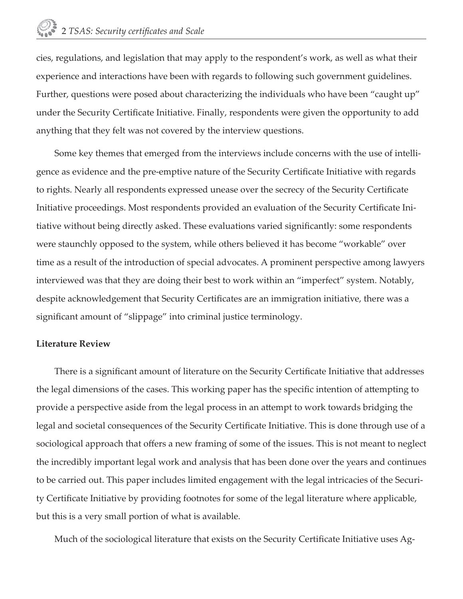cies, regulations, and legislation that may apply to the respondent's work, as well as what their experience and interactions have been with regards to following such government guidelines. Further, questions were posed about characterizing the individuals who have been "caught up" under the Security Certificate Initiative. Finally, respondents were given the opportunity to add anything that they felt was not covered by the interview questions.

Some key themes that emerged from the interviews include concerns with the use of intelligence as evidence and the pre-emptive nature of the Security Certificate Initiative with regards to rights. Nearly all respondents expressed unease over the secrecy of the Security Certificate Initiative proceedings. Most respondents provided an evaluation of the Security Certificate Initiative without being directly asked. These evaluations varied significantly: some respondents were staunchly opposed to the system, while others believed it has become "workable" over time as a result of the introduction of special advocates. A prominent perspective among lawyers interviewed was that they are doing their best to work within an "imperfect" system. Notably, despite acknowledgement that Security Certificates are an immigration initiative, there was a significant amount of "slippage" into criminal justice terminology.

#### **Literature Review**

There is a significant amount of literature on the Security Certificate Initiative that addresses the legal dimensions of the cases. This working paper has the specific intention of attempting to provide a perspective aside from the legal process in an attempt to work towards bridging the legal and societal consequences of the Security Certificate Initiative. This is done through use of a sociological approach that offers a new framing of some of the issues. This is not meant to neglect the incredibly important legal work and analysis that has been done over the years and continues to be carried out. This paper includes limited engagement with the legal intricacies of the Security Certificate Initiative by providing footnotes for some of the legal literature where applicable, but this is a very small portion of what is available.

Much of the sociological literature that exists on the Security Certificate Initiative uses Ag-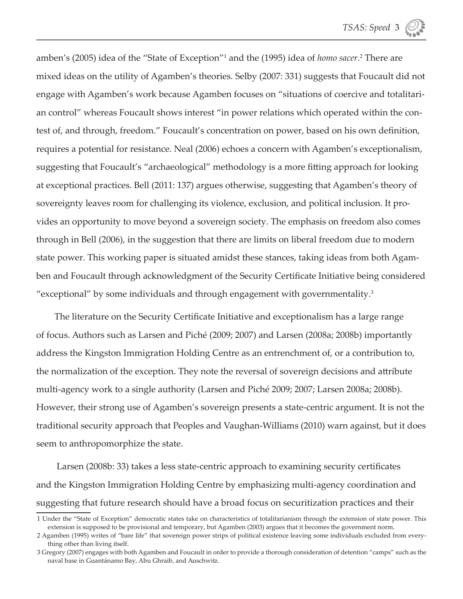amben's (2005) idea of the "State of Exception"<sup>1</sup> and the (1995) idea of *homo sacer*.<sup>2</sup> There are mixed ideas on the utility of Agamben's theories. Selby (2007: 331) suggests that Foucault did not engage with Agamben's work because Agamben focuses on "situations of coercive and totalitarian control" whereas Foucault shows interest "in power relations which operated within the contest of, and through, freedom." Foucault's concentration on power, based on his own definition, requires a potential for resistance. Neal (2006) echoes a concern with Agamben's exceptionalism, suggesting that Foucault's "archaeological" methodology is a more fitting approach for looking at exceptional practices. Bell (2011: 137) argues otherwise, suggesting that Agamben's theory of sovereignty leaves room for challenging its violence, exclusion, and political inclusion. It provides an opportunity to move beyond a sovereign society. The emphasis on freedom also comes through in Bell (2006), in the suggestion that there are limits on liberal freedom due to modern state power. This working paper is situated amidst these stances, taking ideas from both Agamben and Foucault through acknowledgment of the Security Certificate Initiative being considered "exceptional" by some individuals and through engagement with governmentality. $3$ 

The literature on the Security Certificate Initiative and exceptionalism has a large range of focus. Authors such as Larsen and Piché (2009; 2007) and Larsen (2008a; 2008b) importantly address the Kingston Immigration Holding Centre as an entrenchment of, or a contribution to, the normalization of the exception. They note the reversal of sovereign decisions and attribute multi-agency work to a single authority (Larsen and Piché 2009; 2007; Larsen 2008a; 2008b). However, their strong use of Agamben's sovereign presents a state-centric argument. It is not the traditional security approach that Peoples and Vaughan-Williams (2010) warn against, but it does seem to anthropomorphize the state.

Larsen (2008b: 33) takes a less state-centric approach to examining security certificates and the Kingston Immigration Holding Centre by emphasizing multi-agency coordination and suggesting that future research should have a broad focus on securitization practices and their

<sup>1</sup> Under the "State of Exception" democratic states take on characteristics of totalitarianism through the extension of state power. This extension is supposed to be provisional and temporary, but Agamben (2003) argues that it becomes the government norm.

<sup>2</sup> Agamben (1995) writes of "bare life" that sovereign power strips of political existence leaving some individuals excluded from everything other than living itself.

<sup>3</sup> Gregory (2007) engages with both Agamben and Foucault in order to provide a thorough consideration of detention "camps" such as the naval base in Guantánamo Bay, Abu Ghraib, and Auschwitz.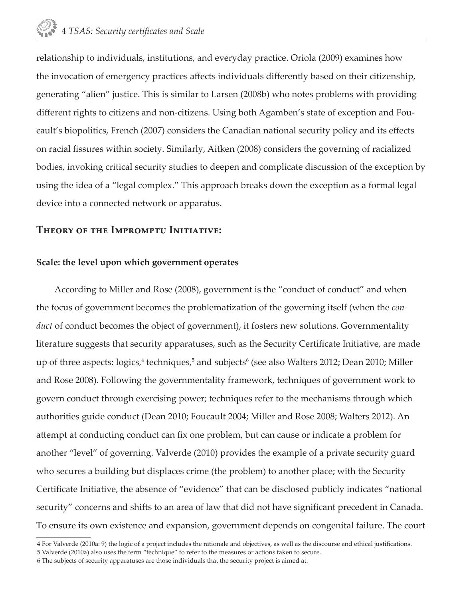relationship to individuals, institutions, and everyday practice. Oriola (2009) examines how the invocation of emergency practices affects individuals differently based on their citizenship, generating "alien" justice. This is similar to Larsen (2008b) who notes problems with providing different rights to citizens and non-citizens. Using both Agamben's state of exception and Foucault's biopolitics, French (2007) considers the Canadian national security policy and its effects on racial fissures within society. Similarly, Aitken (2008) considers the governing of racialized bodies, invoking critical security studies to deepen and complicate discussion of the exception by using the idea of a "legal complex." This approach breaks down the exception as a formal legal device into a connected network or apparatus.

#### **Theory of the Impromptu Initiative:**

#### **Scale: the level upon which government operates**

According to Miller and Rose (2008), government is the "conduct of conduct" and when the focus of government becomes the problematization of the governing itself (when the *conduct* of conduct becomes the object of government), it fosters new solutions. Governmentality literature suggests that security apparatuses, such as the Security Certificate Initiative, are made up of three aspects: logics,<sup>4</sup> techniques,<sup>5</sup> and subjects<sup>6</sup> (see also Walters 2012; Dean 2010; Miller and Rose 2008). Following the governmentality framework, techniques of government work to govern conduct through exercising power; techniques refer to the mechanisms through which authorities guide conduct (Dean 2010; Foucault 2004; Miller and Rose 2008; Walters 2012). An attempt at conducting conduct can fix one problem, but can cause or indicate a problem for another "level" of governing. Valverde (2010) provides the example of a private security guard who secures a building but displaces crime (the problem) to another place; with the Security Certificate Initiative, the absence of "evidence" that can be disclosed publicly indicates "national security" concerns and shifts to an area of law that did not have significant precedent in Canada. To ensure its own existence and expansion, government depends on congenital failure. The court

<sup>4</sup> For Valverde (2010a: 9) the logic of a project includes the rationale and objectives, as well as the discourse and ethical justifications.

<sup>5</sup> Valverde (2010a) also uses the term "technique" to refer to the measures or actions taken to secure.

<sup>6</sup> The subjects of security apparatuses are those individuals that the security project is aimed at.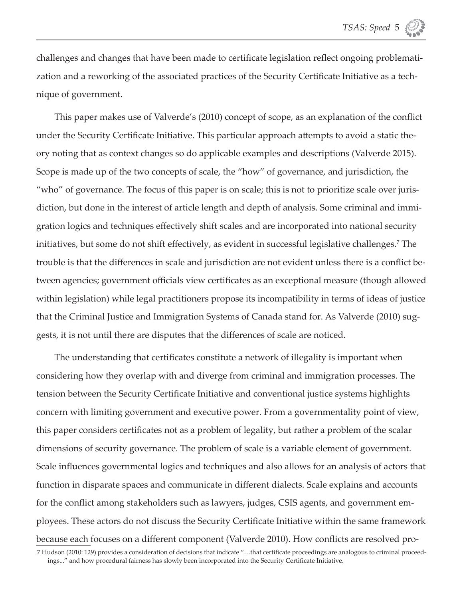challenges and changes that have been made to certificate legislation reflect ongoing problematization and a reworking of the associated practices of the Security Certificate Initiative as a technique of government.

This paper makes use of Valverde's (2010) concept of scope, as an explanation of the conflict under the Security Certificate Initiative. This particular approach attempts to avoid a static theory noting that as context changes so do applicable examples and descriptions (Valverde 2015). Scope is made up of the two concepts of scale, the "how" of governance, and jurisdiction, the "who" of governance. The focus of this paper is on scale; this is not to prioritize scale over jurisdiction, but done in the interest of article length and depth of analysis. Some criminal and immigration logics and techniques effectively shift scales and are incorporated into national security initiatives, but some do not shift effectively, as evident in successful legislative challenges.<sup>7</sup> The trouble is that the differences in scale and jurisdiction are not evident unless there is a conflict between agencies; government officials view certificates as an exceptional measure (though allowed within legislation) while legal practitioners propose its incompatibility in terms of ideas of justice that the Criminal Justice and Immigration Systems of Canada stand for. As Valverde (2010) suggests, it is not until there are disputes that the differences of scale are noticed.

The understanding that certificates constitute a network of illegality is important when considering how they overlap with and diverge from criminal and immigration processes. The tension between the Security Certificate Initiative and conventional justice systems highlights concern with limiting government and executive power. From a governmentality point of view, this paper considers certificates not as a problem of legality, but rather a problem of the scalar dimensions of security governance. The problem of scale is a variable element of government. Scale influences governmental logics and techniques and also allows for an analysis of actors that function in disparate spaces and communicate in different dialects. Scale explains and accounts for the conflict among stakeholders such as lawyers, judges, CSIS agents, and government employees. These actors do not discuss the Security Certificate Initiative within the same framework because each focuses on a different component (Valverde 2010). How conflicts are resolved pro-

<sup>7</sup> Hudson (2010: 129) provides a consideration of decisions that indicate "...that certificate proceedings are analogous to criminal proceedings..." and how procedural fairness has slowly been incorporated into the Security Certificate Initiative.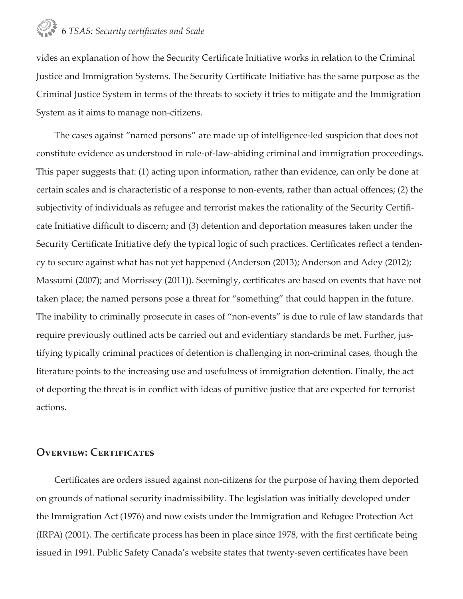vides an explanation of how the Security Certificate Initiative works in relation to the Criminal Justice and Immigration Systems. The Security Certificate Initiative has the same purpose as the Criminal Justice System in terms of the threats to society it tries to mitigate and the Immigration System as it aims to manage non-citizens.

The cases against "named persons" are made up of intelligence-led suspicion that does not constitute evidence as understood in rule-of-law-abiding criminal and immigration proceedings. This paper suggests that: (1) acting upon information, rather than evidence, can only be done at certain scales and is characteristic of a response to non-events, rather than actual offences; (2) the subjectivity of individuals as refugee and terrorist makes the rationality of the Security Certifi cate Initiative difficult to discern; and (3) detention and deportation measures taken under the Security Certificate Initiative defy the typical logic of such practices. Certificates reflect a tendency to secure against what has not yet happened (Anderson (2013); Anderson and Adey (2012); Massumi (2007); and Morrissey (2011)). Seemingly, certificates are based on events that have not taken place; the named persons pose a threat for "something" that could happen in the future. The inability to criminally prosecute in cases of "non-events" is due to rule of law standards that require previously outlined acts be carried out and evidentiary standards be met. Further, justifying typically criminal practices of detention is challenging in non-criminal cases, though the literature points to the increasing use and usefulness of immigration detention. Finally, the act of deporting the threat is in conflict with ideas of punitive justice that are expected for terrorist actions.

#### **Overview: Certificates**

Certificates are orders issued against non-citizens for the purpose of having them deported on grounds of national security inadmissibility. The legislation was initially developed under the Immigration Act (1976) and now exists under the Immigration and Refugee Protection Act (IRPA) (2001). The certificate process has been in place since 1978, with the first certificate being issued in 1991. Public Safety Canada's website states that twenty-seven certificates have been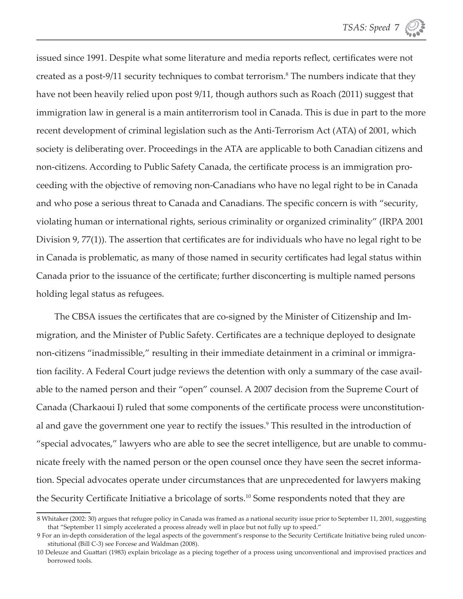issued since 1991. Despite what some literature and media reports reflect, certificates were not created as a post-9/11 security techniques to combat terrorism.<sup>8</sup> The numbers indicate that they have not been heavily relied upon post 9/11, though authors such as Roach (2011) suggest that immigration law in general is a main antiterrorism tool in Canada. This is due in part to the more recent development of criminal legislation such as the Anti-Terrorism Act (ATA) of 2001, which society is deliberating over. Proceedings in the ATA are applicable to both Canadian citizens and non-citizens. According to Public Safety Canada, the certificate process is an immigration proceeding with the objective of removing non-Canadians who have no legal right to be in Canada and who pose a serious threat to Canada and Canadians. The specific concern is with "security, violating human or international rights, serious criminality or organized criminality" (IRPA 2001 Division 9,  $77(1)$ ). The assertion that certificates are for individuals who have no legal right to be in Canada is problematic, as many of those named in security certificates had legal status within Canada prior to the issuance of the certificate; further disconcerting is multiple named persons holding legal status as refugees.

The CBSA issues the certificates that are co-signed by the Minister of Citizenship and Immigration, and the Minister of Public Safety. Certificates are a technique deployed to designate non-citizens "inadmissible," resulting in their immediate detainment in a criminal or immigration facility. A Federal Court judge reviews the detention with only a summary of the case available to the named person and their "open" counsel. A 2007 decision from the Supreme Court of Canada (Charkaoui I) ruled that some components of the certificate process were unconstitutional and gave the government one year to rectify the issues.<sup>9</sup> This resulted in the introduction of "special advocates," lawyers who are able to see the secret intelligence, but are unable to communicate freely with the named person or the open counsel once they have seen the secret information. Special advocates operate under circumstances that are unprecedented for lawyers making the Security Certificate Initiative a bricolage of sorts.<sup>10</sup> Some respondents noted that they are

<sup>8</sup> Whitaker (2002: 30) argues that refugee policy in Canada was framed as a national security issue prior to September 11, 2001, suggesting that "September 11 simply accelerated a process already well in place but not fully up to speed."

<sup>9</sup> For an in-depth consideration of the legal aspects of the government's response to the Security Certificate Initiative being ruled unconstitutional (Bill C-3) see Forcese and Waldman (2008).

<sup>10</sup> Deleuze and Guattari (1983) explain bricolage as a piecing together of a process using unconventional and improvised practices and borrowed tools.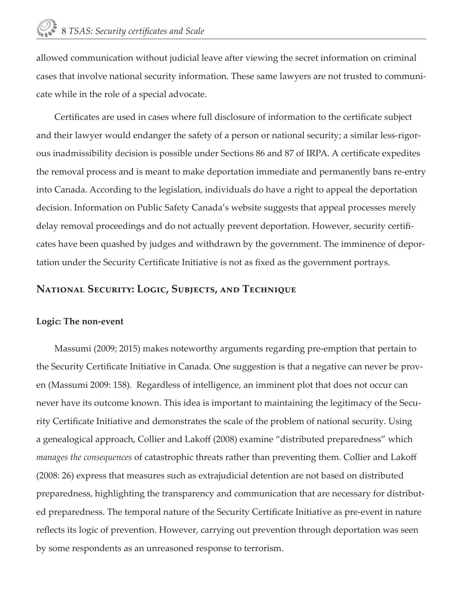allowed communication without judicial leave after viewing the secret information on criminal cases that involve national security information. These same lawyers are not trusted to communicate while in the role of a special advocate.

Certificates are used in cases where full disclosure of information to the certificate subject and their lawyer would endanger the safety of a person or national security; a similar less-rigorous inadmissibility decision is possible under Sections 86 and 87 of IRPA. A certificate expedites the removal process and is meant to make deportation immediate and permanently bans re-entry into Canada. According to the legislation, individuals do have a right to appeal the deportation decision. Information on Public Safety Canada's website suggests that appeal processes merely delay removal proceedings and do not actually prevent deportation. However, security certificates have been quashed by judges and withdrawn by the government. The imminence of deportation under the Security Certificate Initiative is not as fixed as the government portrays.

#### **National Security: Logic, Subjects, and Technique**

#### **Logic: The non-event**

Massumi (2009; 2015) makes noteworthy arguments regarding pre-emption that pertain to the Security Certificate Initiative in Canada. One suggestion is that a negative can never be proven (Massumi 2009: 158). Regardless of intelligence, an imminent plot that does not occur can never have its outcome known. This idea is important to maintaining the legitimacy of the Security Certificate Initiative and demonstrates the scale of the problem of national security. Using a genealogical approach, Collier and Lakoff (2008) examine "distributed preparedness" which *manages the consequences* of catastrophic threats rather than preventing them. Collier and Lakoff (2008: 26) express that measures such as extrajudicial detention are not based on distributed preparedness, highlighting the transparency and communication that are necessary for distributed preparedness. The temporal nature of the Security Certificate Initiative as pre-event in nature reflects its logic of prevention. However, carrying out prevention through deportation was seen by some respondents as an unreasoned response to terrorism.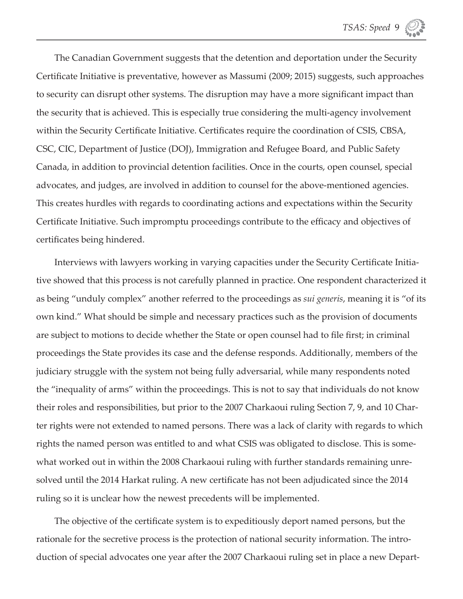The Canadian Government suggests that the detention and deportation under the Security Certificate Initiative is preventative, however as Massumi (2009; 2015) suggests, such approaches to security can disrupt other systems. The disruption may have a more significant impact than the security that is achieved. This is especially true considering the multi-agency involvement within the Security Certificate Initiative. Certificates require the coordination of CSIS, CBSA, CSC, CIC, Department of Justice (DOJ), Immigration and Refugee Board, and Public Safety Canada, in addition to provincial detention facilities. Once in the courts, open counsel, special advocates, and judges, are involved in addition to counsel for the above-mentioned agencies. This creates hurdles with regards to coordinating actions and expectations within the Security Certificate Initiative. Such impromptu proceedings contribute to the efficacy and objectives of certificates being hindered.

Interviews with lawyers working in varying capacities under the Security Certificate Initiative showed that this process is not carefully planned in practice. One respondent characterized it as being "unduly complex" another referred to the proceedings as *sui generis*, meaning it is "of its own kind." What should be simple and necessary practices such as the provision of documents are subject to motions to decide whether the State or open counsel had to file first; in criminal proceedings the State provides its case and the defense responds. Additionally, members of the judiciary struggle with the system not being fully adversarial, while many respondents noted the "inequality of arms" within the proceedings. This is not to say that individuals do not know their roles and responsibilities, but prior to the 2007 Charkaoui ruling Section 7, 9, and 10 Charter rights were not extended to named persons. There was a lack of clarity with regards to which rights the named person was entitled to and what CSIS was obligated to disclose. This is somewhat worked out in within the 2008 Charkaoui ruling with further standards remaining unresolved until the 2014 Harkat ruling. A new certificate has not been adjudicated since the 2014 ruling so it is unclear how the newest precedents will be implemented.

The objective of the certificate system is to expeditiously deport named persons, but the rationale for the secretive process is the protection of national security information. The introduction of special advocates one year after the 2007 Charkaoui ruling set in place a new Depart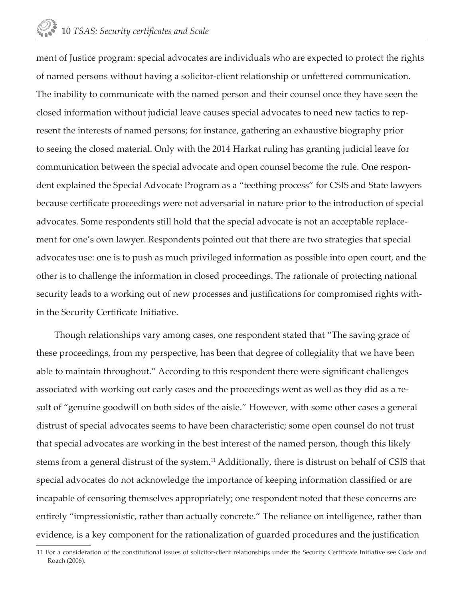ment of Justice program: special advocates are individuals who are expected to protect the rights of named persons without having a solicitor-client relationship or unfettered communication. The inability to communicate with the named person and their counsel once they have seen the closed information without judicial leave causes special advocates to need new tactics to represent the interests of named persons; for instance, gathering an exhaustive biography prior to seeing the closed material. Only with the 2014 Harkat ruling has granting judicial leave for communication between the special advocate and open counsel become the rule. One respondent explained the Special Advocate Program as a "teething process" for CSIS and State lawyers because certificate proceedings were not adversarial in nature prior to the introduction of special advocates. Some respondents still hold that the special advocate is not an acceptable replacement for one's own lawyer. Respondents pointed out that there are two strategies that special advocates use: one is to push as much privileged information as possible into open court, and the other is to challenge the information in closed proceedings. The rationale of protecting national security leads to a working out of new processes and justifications for compromised rights within the Security Certificate Initiative.

Though relationships vary among cases, one respondent stated that "The saving grace of these proceedings, from my perspective, has been that degree of collegiality that we have been able to maintain throughout." According to this respondent there were significant challenges associated with working out early cases and the proceedings went as well as they did as a result of "genuine goodwill on both sides of the aisle." However, with some other cases a general distrust of special advocates seems to have been characteristic; some open counsel do not trust that special advocates are working in the best interest of the named person, though this likely stems from a general distrust of the system.11 Additionally, there is distrust on behalf of CSIS that special advocates do not acknowledge the importance of keeping information classified or are incapable of censoring themselves appropriately; one respondent noted that these concerns are entirely "impressionistic, rather than actually concrete." The reliance on intelligence, rather than evidence, is a key component for the rationalization of guarded procedures and the justification

<sup>11</sup> For a consideration of the constitutional issues of solicitor-client relationships under the Security Certificate Initiative see Code and Roach (2006).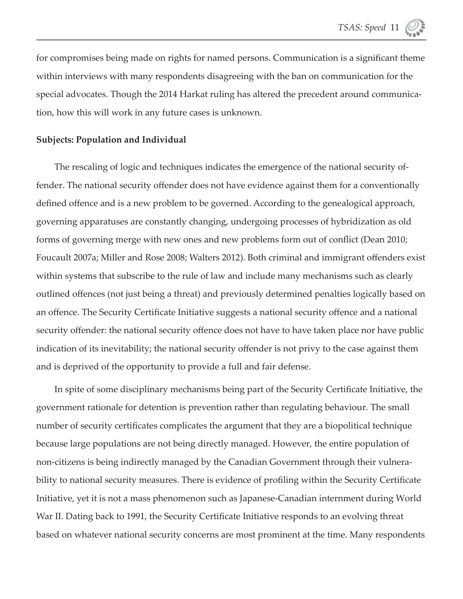for compromises being made on rights for named persons. Communication is a significant theme within interviews with many respondents disagreeing with the ban on communication for the special advocates. Though the 2014 Harkat ruling has altered the precedent around communication, how this will work in any future cases is unknown.

#### **Subjects: Population and Individual**

The rescaling of logic and techniques indicates the emergence of the national security offender. The national security offender does not have evidence against them for a conventionally defined offence and is a new problem to be governed. According to the genealogical approach, governing apparatuses are constantly changing, undergoing processes of hybridization as old forms of governing merge with new ones and new problems form out of conflict (Dean 2010; Foucault 2007a; Miller and Rose 2008; Walters 2012). Both criminal and immigrant offenders exist within systems that subscribe to the rule of law and include many mechanisms such as clearly outlined offences (not just being a threat) and previously determined penalties logically based on an offence. The Security Certificate Initiative suggests a national security offence and a national security offender: the national security offence does not have to have taken place nor have public indication of its inevitability; the national security offender is not privy to the case against them and is deprived of the opportunity to provide a full and fair defense.

In spite of some disciplinary mechanisms being part of the Security Certificate Initiative, the government rationale for detention is prevention rather than regulating behaviour. The small number of security certificates complicates the argument that they are a biopolitical technique because large populations are not being directly managed. However, the entire population of non-citizens is being indirectly managed by the Canadian Government through their vulnerability to national security measures. There is evidence of profiling within the Security Certificate Initiative, yet it is not a mass phenomenon such as Japanese-Canadian internment during World War II. Dating back to 1991, the Security Certificate Initiative responds to an evolving threat based on whatever national security concerns are most prominent at the time. Many respondents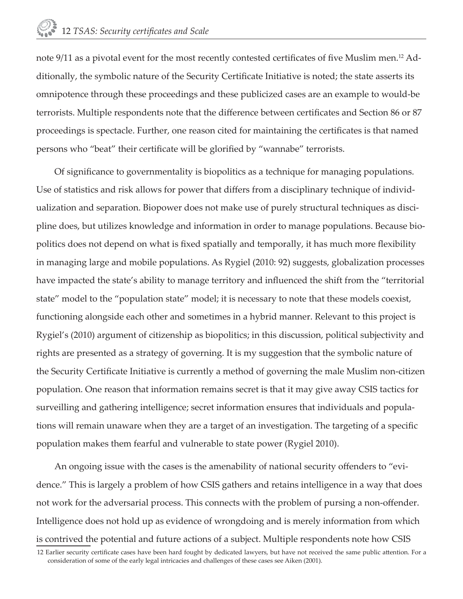note 9/11 as a pivotal event for the most recently contested certificates of five Muslim men.<sup>12</sup> Additionally, the symbolic nature of the Security Certificate Initiative is noted; the state asserts its omnipotence through these proceedings and these publicized cases are an example to would-be terrorists. Multiple respondents note that the difference between certificates and Section 86 or 87 proceedings is spectacle. Further, one reason cited for maintaining the certificates is that named persons who "beat" their certificate will be glorified by "wannabe" terrorists.

Of significance to governmentality is biopolitics as a technique for managing populations. Use of statistics and risk allows for power that differs from a disciplinary technique of individualization and separation. Biopower does not make use of purely structural techniques as discipline does, but utilizes knowledge and information in order to manage populations. Because biopolitics does not depend on what is fixed spatially and temporally, it has much more flexibility in managing large and mobile populations. As Rygiel (2010: 92) suggests, globalization processes have impacted the state's ability to manage territory and influenced the shift from the "territorial state" model to the "population state" model; it is necessary to note that these models coexist, functioning alongside each other and sometimes in a hybrid manner. Relevant to this project is Rygiel's (2010) argument of citizenship as biopolitics; in this discussion, political subjectivity and rights are presented as a strategy of governing. It is my suggestion that the symbolic nature of the Security Certificate Initiative is currently a method of governing the male Muslim non-citizen population. One reason that information remains secret is that it may give away CSIS tactics for surveilling and gathering intelligence; secret information ensures that individuals and populations will remain unaware when they are a target of an investigation. The targeting of a specific population makes them fearful and vulnerable to state power (Rygiel 2010).

An ongoing issue with the cases is the amenability of national security offenders to "evidence." This is largely a problem of how CSIS gathers and retains intelligence in a way that does not work for the adversarial process. This connects with the problem of pursing a non-offender. Intelligence does not hold up as evidence of wrongdoing and is merely information from which is contrived the potential and future actions of a subject. Multiple respondents note how CSIS

<sup>12</sup> Earlier security certificate cases have been hard fought by dedicated lawyers, but have not received the same public attention. For a consideration of some of the early legal intricacies and challenges of these cases see Aiken (2001).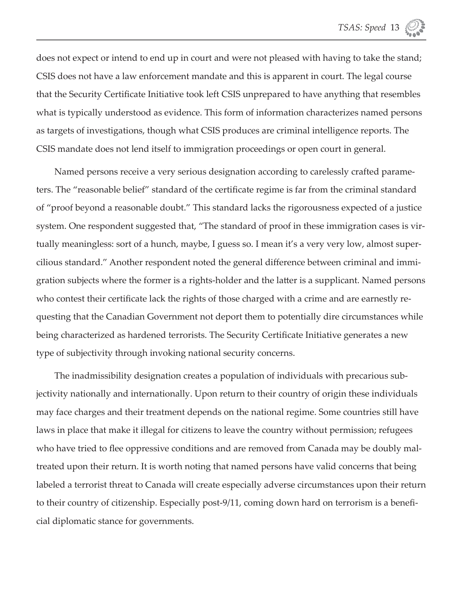does not expect or intend to end up in court and were not pleased with having to take the stand; CSIS does not have a law enforcement mandate and this is apparent in court. The legal course that the Security Certificate Initiative took left CSIS unprepared to have anything that resembles what is typically understood as evidence. This form of information characterizes named persons as targets of investigations, though what CSIS produces are criminal intelligence reports. The CSIS mandate does not lend itself to immigration proceedings or open court in general.

Named persons receive a very serious designation according to carelessly crafted parameters. The "reasonable belief" standard of the certificate regime is far from the criminal standard of "proof beyond a reasonable doubt." This standard lacks the rigorousness expected of a justice system. One respondent suggested that, "The standard of proof in these immigration cases is virtually meaningless: sort of a hunch, maybe, I guess so. I mean it's a very very low, almost supercilious standard." Another respondent noted the general difference between criminal and immigration subjects where the former is a rights-holder and the latter is a supplicant. Named persons who contest their certificate lack the rights of those charged with a crime and are earnestly requesting that the Canadian Government not deport them to potentially dire circumstances while being characterized as hardened terrorists. The Security Certificate Initiative generates a new type of subjectivity through invoking national security concerns.

The inadmissibility designation creates a population of individuals with precarious subjectivity nationally and internationally. Upon return to their country of origin these individuals may face charges and their treatment depends on the national regime. Some countries still have laws in place that make it illegal for citizens to leave the country without permission; refugees who have tried to flee oppressive conditions and are removed from Canada may be doubly maltreated upon their return. It is worth noting that named persons have valid concerns that being labeled a terrorist threat to Canada will create especially adverse circumstances upon their return to their country of citizenship. Especially post-9/11, coming down hard on terrorism is a beneficial diplomatic stance for governments.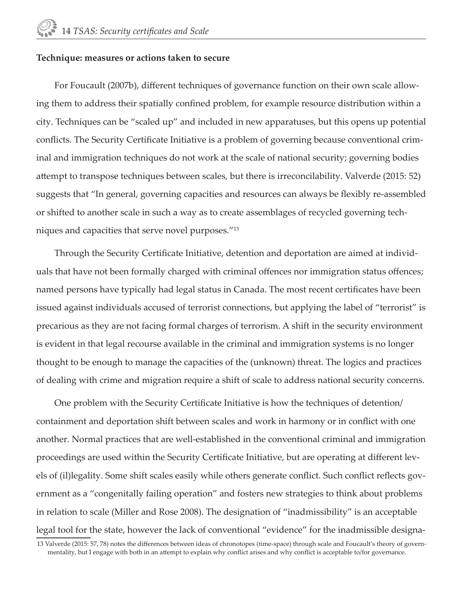#### **Technique: measures or actions taken to secure**

For Foucault (2007b), different techniques of governance function on their own scale allowing them to address their spatially confined problem, for example resource distribution within a city. Techniques can be "scaled up" and included in new apparatuses, but this opens up potential conflicts. The Security Certificate Initiative is a problem of governing because conventional criminal and immigration techniques do not work at the scale of national security; governing bodies attempt to transpose techniques between scales, but there is irreconcilability. Valverde (2015: 52) suggests that "In general, governing capacities and resources can always be flexibly re-assembled or shifted to another scale in such a way as to create assemblages of recycled governing techniques and capacities that serve novel purposes."13

Through the Security Certificate Initiative, detention and deportation are aimed at individuals that have not been formally charged with criminal offences nor immigration status offences; named persons have typically had legal status in Canada. The most recent certificates have been issued against individuals accused of terrorist connections, but applying the label of "terrorist" is precarious as they are not facing formal charges of terrorism. A shift in the security environment is evident in that legal recourse available in the criminal and immigration systems is no longer thought to be enough to manage the capacities of the (unknown) threat. The logics and practices of dealing with crime and migration require a shift of scale to address national security concerns.

One problem with the Security Certificate Initiative is how the techniques of detention/ containment and deportation shift between scales and work in harmony or in conflict with one another. Normal practices that are well-established in the conventional criminal and immigration proceedings are used within the Security Certificate Initiative, but are operating at different levels of (il)legality. Some shift scales easily while others generate conflict. Such conflict reflects government as a "congenitally failing operation" and fosters new strategies to think about problems in relation to scale (Miller and Rose 2008). The designation of "inadmissibility" is an acceptable legal tool for the state, however the lack of conventional "evidence" for the inadmissible designa-

<sup>13</sup> Valverde (2015: 57, 78) notes the differences between ideas of chronotopes (time-space) through scale and Foucault's theory of governmentality, but I engage with both in an attempt to explain why conflict arises and why conflict is acceptable to/for governance.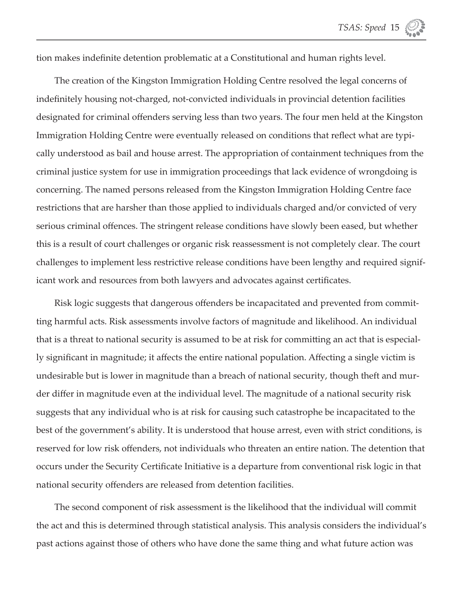tion makes indefinite detention problematic at a Constitutional and human rights level.

The creation of the Kingston Immigration Holding Centre resolved the legal concerns of indefinitely housing not-charged, not-convicted individuals in provincial detention facilities designated for criminal offenders serving less than two years. The four men held at the Kingston Immigration Holding Centre were eventually released on conditions that reflect what are typically understood as bail and house arrest. The appropriation of containment techniques from the criminal justice system for use in immigration proceedings that lack evidence of wrongdoing is concerning. The named persons released from the Kingston Immigration Holding Centre face restrictions that are harsher than those applied to individuals charged and/or convicted of very serious criminal offences. The stringent release conditions have slowly been eased, but whether this is a result of court challenges or organic risk reassessment is not completely clear. The court challenges to implement less restrictive release conditions have been lengthy and required significant work and resources from both lawyers and advocates against certificates.

Risk logic suggests that dangerous offenders be incapacitated and prevented from committing harmful acts. Risk assessments involve factors of magnitude and likelihood. An individual that is a threat to national security is assumed to be at risk for committing an act that is especially significant in magnitude; it affects the entire national population. Affecting a single victim is undesirable but is lower in magnitude than a breach of national security, though theft and murder differ in magnitude even at the individual level. The magnitude of a national security risk suggests that any individual who is at risk for causing such catastrophe be incapacitated to the best of the government's ability. It is understood that house arrest, even with strict conditions, is reserved for low risk offenders, not individuals who threaten an entire nation. The detention that occurs under the Security Certificate Initiative is a departure from conventional risk logic in that national security offenders are released from detention facilities.

The second component of risk assessment is the likelihood that the individual will commit the act and this is determined through statistical analysis. This analysis considers the individual's past actions against those of others who have done the same thing and what future action was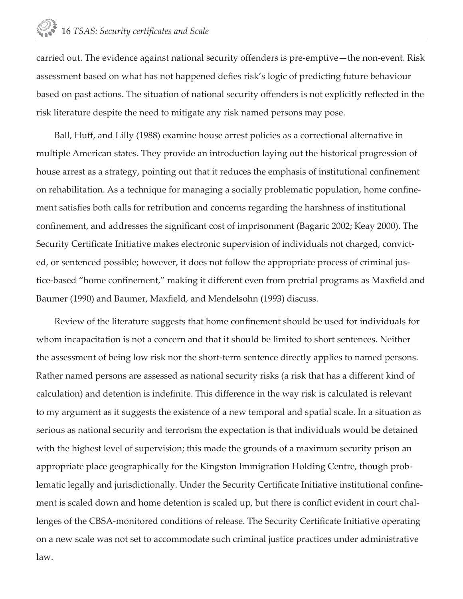carried out. The evidence against national security offenders is pre-emptive—the non-event. Risk assessment based on what has not happened defies risk's logic of predicting future behaviour based on past actions. The situation of national security offenders is not explicitly reflected in the risk literature despite the need to mitigate any risk named persons may pose.

Ball, Huff, and Lilly (1988) examine house arrest policies as a correctional alternative in multiple American states. They provide an introduction laying out the historical progression of house arrest as a strategy, pointing out that it reduces the emphasis of institutional confinement on rehabilitation. As a technique for managing a socially problematic population, home confinement satisfies both calls for retribution and concerns regarding the harshness of institutional confinement, and addresses the significant cost of imprisonment (Bagaric 2002; Keay 2000). The Security Certificate Initiative makes electronic supervision of individuals not charged, convicted, or sentenced possible; however, it does not follow the appropriate process of criminal justice-based "home confinement," making it different even from pretrial programs as Maxfield and Baumer (1990) and Baumer, Maxfield, and Mendelsohn (1993) discuss.

Review of the literature suggests that home confinement should be used for individuals for whom incapacitation is not a concern and that it should be limited to short sentences. Neither the assessment of being low risk nor the short-term sentence directly applies to named persons. Rather named persons are assessed as national security risks (a risk that has a different kind of calculation) and detention is indefinite. This difference in the way risk is calculated is relevant to my argument as it suggests the existence of a new temporal and spatial scale. In a situation as serious as national security and terrorism the expectation is that individuals would be detained with the highest level of supervision; this made the grounds of a maximum security prison an appropriate place geographically for the Kingston Immigration Holding Centre, though problematic legally and jurisdictionally. Under the Security Certificate Initiative institutional confinement is scaled down and home detention is scaled up, but there is conflict evident in court challenges of the CBSA-monitored conditions of release. The Security Certificate Initiative operating on a new scale was not set to accommodate such criminal justice practices under administrative law.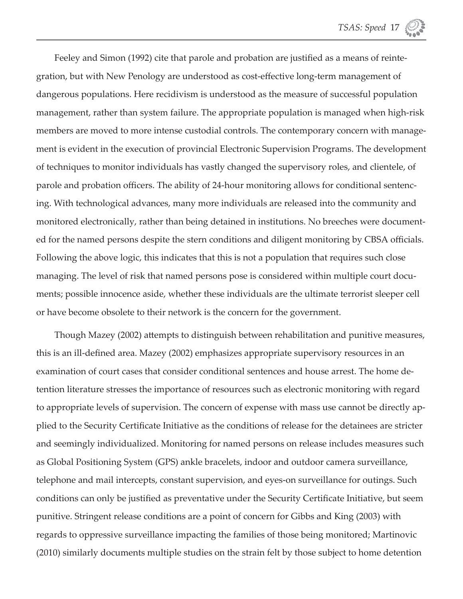Feeley and Simon (1992) cite that parole and probation are justified as a means of reintegration, but with New Penology are understood as cost-effective long-term management of dangerous populations. Here recidivism is understood as the measure of successful population management, rather than system failure. The appropriate population is managed when high-risk members are moved to more intense custodial controls. The contemporary concern with management is evident in the execution of provincial Electronic Supervision Programs. The development of techniques to monitor individuals has vastly changed the supervisory roles, and clientele, of parole and probation officers. The ability of 24-hour monitoring allows for conditional sentencing. With technological advances, many more individuals are released into the community and monitored electronically, rather than being detained in institutions. No breeches were documented for the named persons despite the stern conditions and diligent monitoring by CBSA officials. Following the above logic, this indicates that this is not a population that requires such close managing. The level of risk that named persons pose is considered within multiple court documents; possible innocence aside, whether these individuals are the ultimate terrorist sleeper cell or have become obsolete to their network is the concern for the government.

Though Mazey (2002) attempts to distinguish between rehabilitation and punitive measures, this is an ill-defined area. Mazey (2002) emphasizes appropriate supervisory resources in an examination of court cases that consider conditional sentences and house arrest. The home detention literature stresses the importance of resources such as electronic monitoring with regard to appropriate levels of supervision. The concern of expense with mass use cannot be directly applied to the Security Certificate Initiative as the conditions of release for the detainees are stricter and seemingly individualized. Monitoring for named persons on release includes measures such as Global Positioning System (GPS) ankle bracelets, indoor and outdoor camera surveillance, telephone and mail intercepts, constant supervision, and eyes-on surveillance for outings. Such conditions can only be justified as preventative under the Security Certificate Initiative, but seem punitive. Stringent release conditions are a point of concern for Gibbs and King (2003) with regards to oppressive surveillance impacting the families of those being monitored; Martinovic (2010) similarly documents multiple studies on the strain felt by those subject to home detention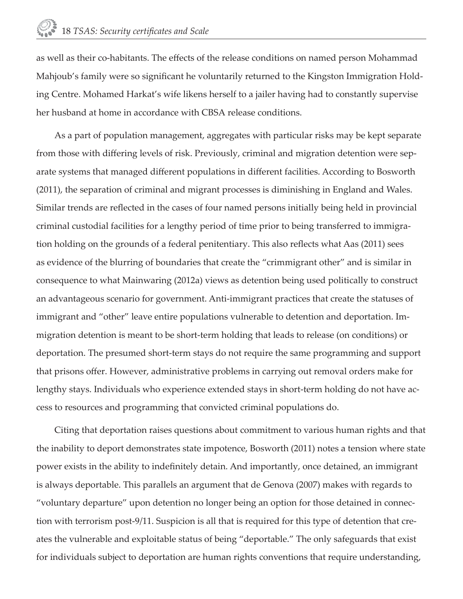as well as their co-habitants. The effects of the release conditions on named person Mohammad Mahjoub's family were so significant he voluntarily returned to the Kingston Immigration Holding Centre. Mohamed Harkat's wife likens herself to a jailer having had to constantly supervise her husband at home in accordance with CBSA release conditions.

As a part of population management, aggregates with particular risks may be kept separate from those with differing levels of risk. Previously, criminal and migration detention were separate systems that managed different populations in different facilities. According to Bosworth (2011), the separation of criminal and migrant processes is diminishing in England and Wales. Similar trends are reflected in the cases of four named persons initially being held in provincial criminal custodial facilities for a lengthy period of time prior to being transferred to immigration holding on the grounds of a federal penitentiary. This also reflects what Aas (2011) sees as evidence of the blurring of boundaries that create the "crimmigrant other" and is similar in consequence to what Mainwaring (2012a) views as detention being used politically to construct an advantageous scenario for government. Anti-immigrant practices that create the statuses of immigrant and "other" leave entire populations vulnerable to detention and deportation. Immigration detention is meant to be short-term holding that leads to release (on conditions) or deportation. The presumed short-term stays do not require the same programming and support that prisons offer. However, administrative problems in carrying out removal orders make for lengthy stays. Individuals who experience extended stays in short-term holding do not have access to resources and programming that convicted criminal populations do.

Citing that deportation raises questions about commitment to various human rights and that the inability to deport demonstrates state impotence, Bosworth (2011) notes a tension where state power exists in the ability to indefinitely detain. And importantly, once detained, an immigrant is always deportable. This parallels an argument that de Genova (2007) makes with regards to "voluntary departure" upon detention no longer being an option for those detained in connection with terrorism post-9/11. Suspicion is all that is required for this type of detention that creates the vulnerable and exploitable status of being "deportable." The only safeguards that exist for individuals subject to deportation are human rights conventions that require understanding,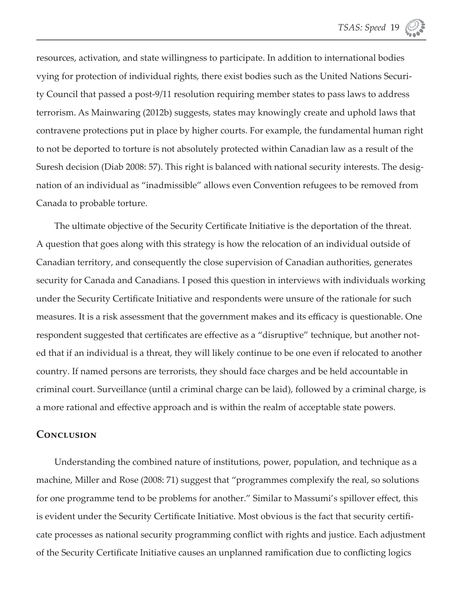resources, activation, and state willingness to participate. In addition to international bodies vying for protection of individual rights, there exist bodies such as the United Nations Security Council that passed a post-9/11 resolution requiring member states to pass laws to address terrorism. As Mainwaring (2012b) suggests, states may knowingly create and uphold laws that contravene protections put in place by higher courts. For example, the fundamental human right to not be deported to torture is not absolutely protected within Canadian law as a result of the Suresh decision (Diab 2008: 57). This right is balanced with national security interests. The designation of an individual as "inadmissible" allows even Convention refugees to be removed from Canada to probable torture.

The ultimate objective of the Security Certificate Initiative is the deportation of the threat. A question that goes along with this strategy is how the relocation of an individual outside of Canadian territory, and consequently the close supervision of Canadian authorities, generates security for Canada and Canadians. I posed this question in interviews with individuals working under the Security Certificate Initiative and respondents were unsure of the rationale for such measures. It is a risk assessment that the government makes and its efficacy is questionable. One respondent suggested that certificates are effective as a "disruptive" technique, but another noted that if an individual is a threat, they will likely continue to be one even if relocated to another country. If named persons are terrorists, they should face charges and be held accountable in criminal court. Surveillance (until a criminal charge can be laid), followed by a criminal charge, is a more rational and effective approach and is within the realm of acceptable state powers.

#### **Conclusion**

Understanding the combined nature of institutions, power, population, and technique as a machine, Miller and Rose (2008: 71) suggest that "programmes complexify the real, so solutions for one programme tend to be problems for another." Similar to Massumi's spillover effect, this is evident under the Security Certificate Initiative. Most obvious is the fact that security certificate processes as national security programming conflict with rights and justice. Each adjustment of the Security Certificate Initiative causes an unplanned ramification due to conflicting logics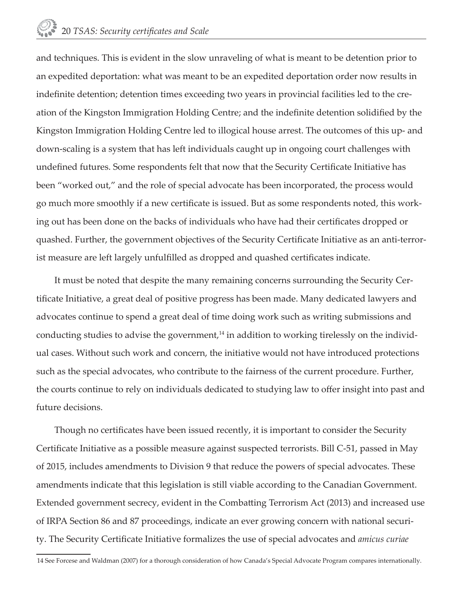and techniques. This is evident in the slow unraveling of what is meant to be detention prior to an expedited deportation: what was meant to be an expedited deportation order now results in indefinite detention; detention times exceeding two years in provincial facilities led to the creation of the Kingston Immigration Holding Centre; and the indefinite detention solidified by the Kingston Immigration Holding Centre led to illogical house arrest. The outcomes of this up- and down-scaling is a system that has left individuals caught up in ongoing court challenges with undefined futures. Some respondents felt that now that the Security Certificate Initiative has been "worked out," and the role of special advocate has been incorporated, the process would go much more smoothly if a new certificate is issued. But as some respondents noted, this working out has been done on the backs of individuals who have had their certificates dropped or quashed. Further, the government objectives of the Security Certificate Initiative as an anti-terrorist measure are left largely unfulfilled as dropped and quashed certificates indicate.

It must be noted that despite the many remaining concerns surrounding the Security Certificate Initiative, a great deal of positive progress has been made. Many dedicated lawyers and advocates continue to spend a great deal of time doing work such as writing submissions and conducting studies to advise the government,<sup>14</sup> in addition to working tirelessly on the individual cases. Without such work and concern, the initiative would not have introduced protections such as the special advocates, who contribute to the fairness of the current procedure. Further, the courts continue to rely on individuals dedicated to studying law to offer insight into past and future decisions.

Though no certificates have been issued recently, it is important to consider the Security Certificate Initiative as a possible measure against suspected terrorists. Bill C-51, passed in May of 2015, includes amendments to Division 9 that reduce the powers of special advocates. These amendments indicate that this legislation is still viable according to the Canadian Government. Extended government secrecy, evident in the Combatting Terrorism Act (2013) and increased use of IRPA Section 86 and 87 proceedings, indicate an ever growing concern with national security. The Security Certificate Initiative formalizes the use of special advocates and *amicus curiae* 

<sup>14</sup> See Forcese and Waldman (2007) for a thorough consideration of how Canada's Special Advocate Program compares internationally.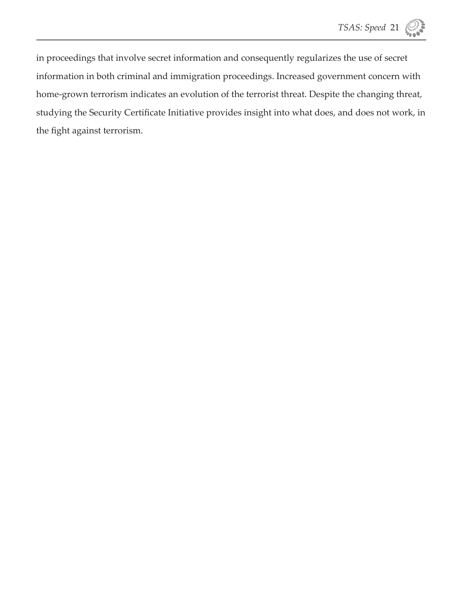in proceedings that involve secret information and consequently regularizes the use of secret information in both criminal and immigration proceedings. Increased government concern with home-grown terrorism indicates an evolution of the terrorist threat. Despite the changing threat, studying the Security Certificate Initiative provides insight into what does, and does not work, in the fight against terrorism.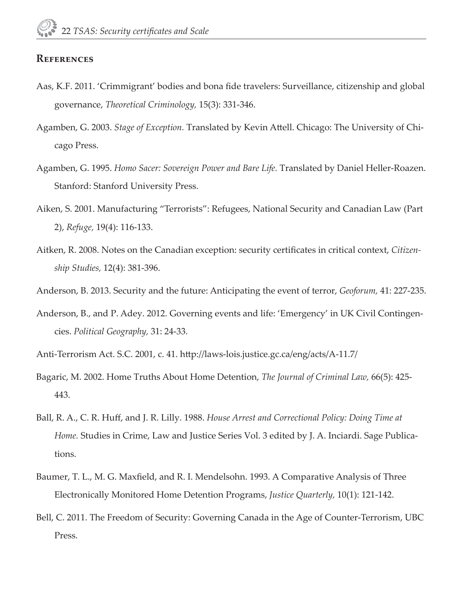#### **References**

- Aas, K.F. 2011. 'Crimmigrant' bodies and bona fide travelers: Surveillance, citizenship and global governance, *Theoretical Criminology,* 15(3): 331-346.
- Agamben, G. 2003. *Stage of Exception*. Translated by Kevin Attell. Chicago: The University of Chicago Press.
- Agamben, G. 1995. *Homo Sacer: Sovereign Power and Bare Life.* Translated by Daniel Heller-Roazen. Stanford: Stanford University Press.
- Aiken, S. 2001. Manufacturing "Terrorists": Refugees, National Security and Canadian Law (Part 2), *Refuge,* 19(4): 116-133.
- Aitken, R. 2008. Notes on the Canadian exception: security certificates in critical context, *Citizenship Studies,* 12(4): 381-396.
- Anderson, B. 2013. Security and the future: Anticipating the event of terror, *Geoforum,* 41: 227-235.
- Anderson, B., and P. Adey. 2012. Governing events and life: 'Emergency' in UK Civil Contingencies. *Political Geography,* 31: 24-33.
- Anti-Terrorism Act. S.C. 2001, c. 41. http://laws-lois.justice.gc.ca/eng/acts/A-11.7/
- Bagaric, M. 2002. Home Truths About Home Detention, *The Journal of Criminal Law,* 66(5): 425- 443.
- Ball, R. A., C. R. Huff, and J. R. Lilly. 1988. *House Arrest and Correctional Policy: Doing Time at Home.* Studies in Crime, Law and Justice Series Vol. 3 edited by J. A. Inciardi. Sage Publications.
- Baumer, T. L., M. G. Maxfield, and R. I. Mendelsohn. 1993. A Comparative Analysis of Three Electronically Monitored Home Detention Programs, *Justice Quarterly,* 10(1): 121-142.
- Bell, C. 2011. The Freedom of Security: Governing Canada in the Age of Counter-Terrorism, UBC Press.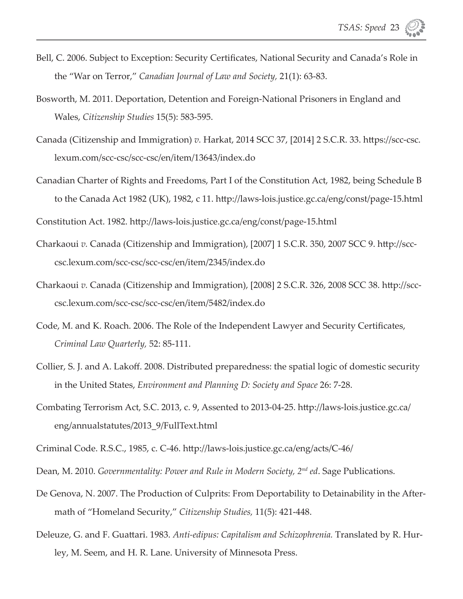- Bell, C. 2006. Subject to Exception: Security Certificates, National Security and Canada's Role in the "War on Terror," *Canadian Journal of Law and Society,* 21(1): 63-83.
- Bosworth, M. 2011. Deportation, Detention and Foreign-National Prisoners in England and Wales, *Citizenship Studies* 15(5): 583-595.
- Canada (Citizenship and Immigration) *v*. Harkat, 2014 SCC 37, [2014] 2 S.C.R. 33. https://scc-csc. lexum.com/scc-csc/scc-csc/en/item/13643/index.do
- Canadian Charter of Rights and Freedoms, Part I of the Constitution Act, 1982, being Schedule B to the Canada Act 1982 (UK), 1982, c 11. http://laws-lois.justice.gc.ca/eng/const/page-15.html

Constitution Act. 1982. http://laws-lois.justice.gc.ca/eng/const/page-15.html

- Charkaoui *v.* Canada (Citizenship and Immigration), [2007] 1 S.C.R. 350, 2007 SCC 9. http://scccsc.lexum.com/scc-csc/scc-csc/en/item/2345/index.do
- Charkaoui *v*. Canada (Citizenship and Immigration), [2008] 2 S.C.R. 326, 2008 SCC 38. http://scccsc.lexum.com/scc-csc/scc-csc/en/item/5482/index.do
- Code, M. and K. Roach. 2006. The Role of the Independent Lawyer and Security Certificates, *Criminal Law Quarterly,* 52: 85-111.
- Collier, S. J. and A. Lakoff. 2008. Distributed preparedness: the spatial logic of domestic security in the United States, *Environment and Planning D: Society and Space* 26: 7-28.
- Combating Terrorism Act, S.C. 2013, c. 9, Assented to 2013-04-25. htt p://laws-lois.justice.gc.ca/ eng/annualstatutes/2013\_9/FullText.html
- Criminal Code. R.S.C., 1985, c. C-46. htt p://laws-lois.justice.gc.ca/eng/acts/C-46/
- Dean, M. 2010. *Governmentality: Power and Rule in Modern Society, 2nd ed*. Sage Publications.
- De Genova, N. 2007. The Production of Culprits: From Deportability to Detainability in the Aftermath of "Homeland Security," *Citizenship Studies,* 11(5): 421-448.
- Deleuze, G. and F. Guattari. 1983. *Anti-edipus: Capitalism and Schizophrenia*. Translated by R. Hurley, M. Seem, and H. R. Lane. University of Minnesota Press.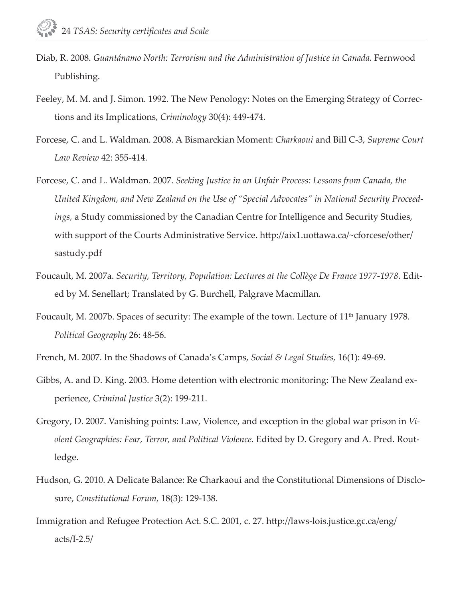- Diab, R. 2008. *Guantánamo North: Terrorism and the Administration of Justice in Canada.* Fernwood Publishing.
- Feeley, M. M. and J. Simon. 1992. The New Penology: Notes on the Emerging Strategy of Corrections and its Implications, *Criminology* 30(4): 449-474.
- Forcese, C. and L. Waldman. 2008. A Bismarckian Moment: *Charkaoui* and Bill C-3, *Supreme Court Law Review* 42: 355-414.
- Forcese, C. and L. Waldman. 2007. *Seeking Justice in an Unfair Process: Lessons from Canada, the United Kingdom, and New Zealand on the Use of "Special Advocates" in National Security Proceedings,* a Study commissioned by the Canadian Centre for Intelligence and Security Studies, with support of the Courts Administrative Service. http://aix1.uottawa.ca/~cforcese/other/ sastudy.pdf
- Foucault, M. 2007a. *Security, Territory, Population: Lectures at the Collège De France 1977-1978*. Edited by M. Senellart; Translated by G. Burchell, Palgrave Macmillan.
- Foucault, M. 2007b. Spaces of security: The example of the town. Lecture of 11th January 1978. *Political Geography* 26: 48-56.
- French, M. 2007. In the Shadows of Canada's Camps, *Social & Legal Studies,* 16(1): 49-69.
- Gibbs, A. and D. King. 2003. Home detention with electronic monitoring: The New Zealand experience, *Criminal Justice* 3(2): 199-211.
- Gregory, D. 2007. Vanishing points: Law, Violence, and exception in the global war prison in *Violent Geographies: Fear, Terror, and Political Violence.* Edited by D. Gregory and A. Pred. Routledge.
- Hudson, G. 2010. A Delicate Balance: Re Charkaoui and the Constitutional Dimensions of Disclosure, *Constitutional Forum,* 18(3): 129-138.
- Immigration and Refugee Protection Act. S.C. 2001, c. 27. http://laws-lois.justice.gc.ca/eng/ acts/I-2.5/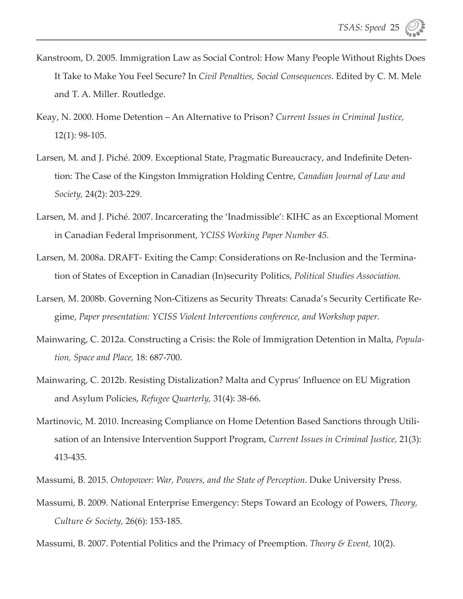- Kanstroom, D. 2005. Immigration Law as Social Control: How Many People Without Rights Does It Take to Make You Feel Secure? In *Civil Penalties, Social Consequences.* Edited by C. M. Mele and T. A. Miller. Routledge.
- Keay, N. 2000. Home Detention An Alternative to Prison? *Current Issues in Criminal Justice,* 12(1): 98-105.
- Larsen, M. and J. Piché. 2009. Exceptional State, Pragmatic Bureaucracy, and Indefinite Detention: The Case of the Kingston Immigration Holding Centre, *Canadian Journal of Law and Society,* 24(2): 203-229.
- Larsen, M. and J. Piché. 2007. Incarcerating the 'Inadmissible': KIHC as an Exceptional Moment in Canadian Federal Imprisonment, *YCISS Working Paper Number 45.*
- Larsen, M. 2008a. DRAFT- Exiting the Camp: Considerations on Re-Inclusion and the Termination of States of Exception in Canadian (In)security Politics, *Political Studies Association.*
- Larsen, M. 2008b. Governing Non-Citizens as Security Threats: Canada's Security Certificate Regime, *Paper presentation: YCISS Violent Interventions conference, and Workshop paper.*
- Mainwaring, C. 2012a. Constructing a Crisis: the Role of Immigration Detention in Malta, *Population, Space and Place,* 18: 687-700.
- Mainwaring, C. 2012b. Resisting Distalization? Malta and Cyprus' Influence on EU Migration and Asylum Policies, *Refugee Quarterly,* 31(4): 38-66.
- Martinovic, M. 2010. Increasing Compliance on Home Detention Based Sanctions through Utilisation of an Intensive Intervention Support Program, *Current Issues in Criminal Justice,* 21(3): 413-435.
- Massumi, B. 2015. *Ontopower: War, Powers, and the State of Perception*. Duke University Press.
- Massumi, B. 2009. National Enterprise Emergency: Steps Toward an Ecology of Powers, *Theory, Culture & Society,* 26(6): 153-185.

Massumi, B. 2007. Potential Politics and the Primacy of Preemption. *Theory & Event,* 10(2).